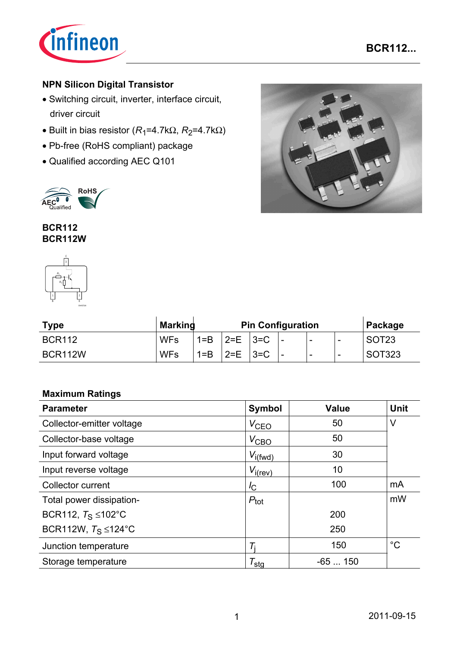

## **NPN Silicon Digital Transistor**

- Switching circuit, inverter, interface circuit, driver circuit
- Built in bias resistor  $(R_1=4.7k\Omega, R_2=4.7k\Omega)$
- Pb-free (RoHS compliant) package
- Qualified according AEC Q101



**BCR112 BCR112W**



| <b>Type</b>   | <b>Marking</b> | <b>Pin Configuration</b> |         |          |   | Package |                          |                   |
|---------------|----------------|--------------------------|---------|----------|---|---------|--------------------------|-------------------|
| <b>BCR112</b> | <b>WFs</b>     | $1 = B$                  | $2=F$   | $13 = C$ | - | -       | $\overline{\phantom{a}}$ | SOT <sub>23</sub> |
| BCR112W       | <b>WFs</b>     | $1 = B$                  | $2 = E$ | $3 = C$  | - | -       | $\overline{\phantom{0}}$ | SOT323            |

#### **Maximum Ratings**

| <b>Parameter</b>                  | <b>Symbol</b>       | <b>Value</b> | <b>Unit</b> |
|-----------------------------------|---------------------|--------------|-------------|
| Collector-emitter voltage         | V <sub>CEO</sub>    | 50           | V           |
| Collector-base voltage            | $V_{\text{CBO}}$    | 50           |             |
| Input forward voltage             | $V_{i(fwd)}$        | 30           |             |
| Input reverse voltage             | $V_{i(rev)}$        | 10           |             |
| Collector current                 | $I_{\rm C}$         | 100          | mA          |
| Total power dissipation-          | $P_{\text{tot}}$    |              | mW          |
| BCR112, $T_S \leq 102^{\circ}$ C  |                     | 200          |             |
| BCR112W, $T_S \leq 124^{\circ}$ C |                     | 250          |             |
| Junction temperature              |                     | 150          | $^{\circ}C$ |
| Storage temperature               | $\tau_{\text{stg}}$ | $-65150$     |             |

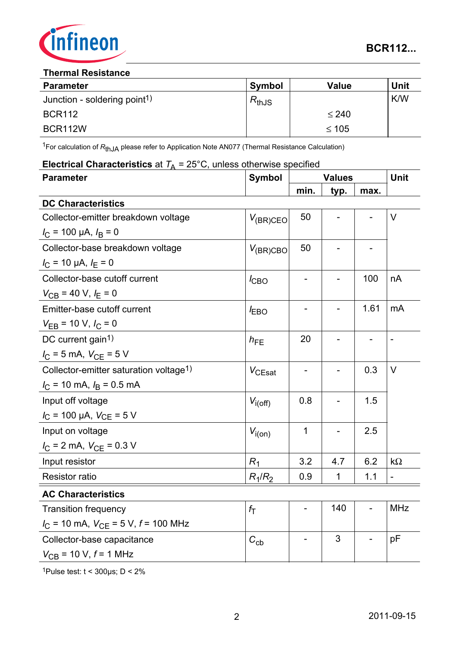

#### **Thermal Resistance**

| <b>Parameter</b>                         | <b>Symbol</b> | Value      | <b>Unit</b> |
|------------------------------------------|---------------|------------|-------------|
| Junction - soldering point <sup>1)</sup> | $R_{thJS}$    |            | <b>K/W</b>  |
| <b>BCR112</b>                            |               | $\leq 240$ |             |
| BCR112W                                  |               | $≤ 105$    |             |

<sup>1</sup>For calculation of R<sub>thJA</sub> please refer to Application Note AN077 (Thermal Resistance Calculation)

#### **Electrical Characteristics** at  $T_A = 25^{\circ}$ C, unless otherwise specified

| <b>Parameter</b>                                             | <b>Symbol</b> | <b>Values</b>            | Unit        |      |                          |
|--------------------------------------------------------------|---------------|--------------------------|-------------|------|--------------------------|
|                                                              |               | min.                     | typ.        | max. |                          |
| <b>DC Characteristics</b>                                    |               |                          |             |      |                          |
| Collector-emitter breakdown voltage                          | $V_{(BR)CEO}$ | 50                       |             |      | V                        |
| $I_C$ = 100 µA, $I_B$ = 0                                    |               |                          |             |      |                          |
| Collector-base breakdown voltage                             | $V_{(BR)CBO}$ | 50                       |             |      |                          |
| $I_{\rm C}$ = 10 µA, $I_{\rm E}$ = 0                         |               |                          |             |      |                          |
| Collector-base cutoff current                                | $I_{CBO}$     |                          |             | 100  | nA                       |
| $V_{CB}$ = 40 V, $I_E$ = 0                                   |               |                          |             |      |                          |
| Emitter-base cutoff current                                  | $I_{EBO}$     | $\overline{\phantom{a}}$ |             | 1.61 | mA                       |
| $V_{EB}$ = 10 V, $I_C$ = 0                                   |               |                          |             |      |                          |
| DC current gain <sup>1)</sup>                                | $h_{FE}$      | 20                       |             |      | $\overline{a}$           |
| $I_C = 5$ mA, $V_{CE} = 5$ V                                 |               |                          |             |      |                          |
| Collector-emitter saturation voltage <sup>1)</sup>           | $V_{CEsat}$   | $\qquad \qquad -$        |             | 0.3  | V                        |
| $I_{\rm C}$ = 10 mA, $I_{\rm B}$ = 0.5 mA                    |               |                          |             |      |                          |
| Input off voltage                                            | $V_{i(off)}$  | 0.8                      |             | 1.5  |                          |
| $I_C$ = 100 µA, $V_{CE}$ = 5 V                               |               |                          |             |      |                          |
| Input on voltage                                             | $V_{i(0n)}$   | 1                        |             | 2.5  |                          |
| $I_{\rm C}$ = 2 mA, $V_{\rm CE}$ = 0.3 V                     |               |                          |             |      |                          |
| Input resistor                                               | $R_1$         | 3.2                      | 4.7         | 6.2  | $k\Omega$                |
| <b>Resistor ratio</b>                                        | $R_1/R_2$     | 0.9                      | $\mathbf 1$ | 1.1  | $\overline{\phantom{0}}$ |
| <b>AC Characteristics</b>                                    |               |                          |             |      |                          |
| <b>Transition frequency</b>                                  | $f_{\rm T}$   |                          | 140         |      | <b>MHz</b>               |
| $I_{\text{C}}$ = 10 mA, $V_{\text{CE}}$ = 5 V, $f$ = 100 MHz |               |                          |             |      |                          |
| Collector-base capacitance                                   | $C_{cb}$      |                          | 3           |      | рF                       |
| $V_{CB}$ = 10 V, $f$ = 1 MHz                                 |               |                          |             |      |                          |

1Pulse test:  $t < 300 \mu s$ ; D < 2%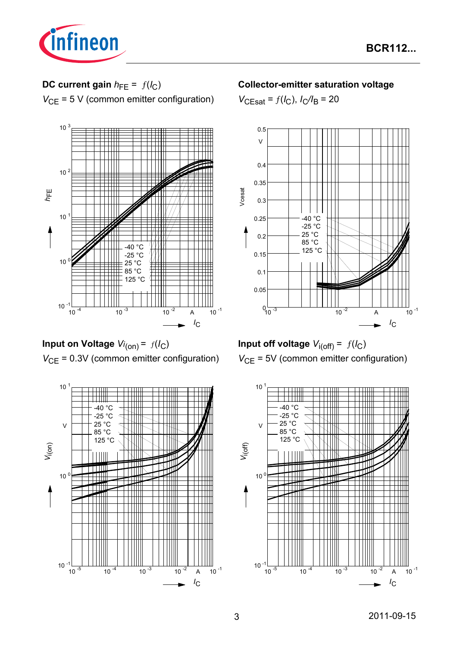

# **DC current gain**  $h_{FE} = f(l_C)$

*V*<sub>CE</sub> = 5 V (common emitter configuration)



**Input on Voltage** *Vi* (on) = ƒ(*I*C) *V*<sub>CE</sub> = 0.3V (common emitter configuration)



#### **Collector-emitter saturation voltage**

 $V_{\text{CEsat}} = f(I_{\text{C}}), I_{\text{C}}/I_{\text{B}} = 20$ 





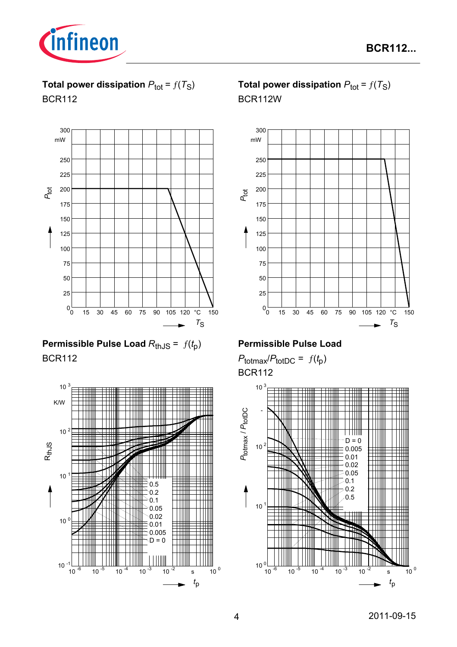

**Total power dissipation**  $P_{\text{tot}} = f(T_S)$ BCR112



**Permissible Pulse Load**  $R_{th,JS} = f(t_p)$ BCR112



# **Total power dissipation**  $P_{\text{tot}} = f(T_S)$ BCR112W



### **Permissible Pulse Load**

 $P_{\text{totmax}}/P_{\text{totDC}} = f(t_p)$ BCR112

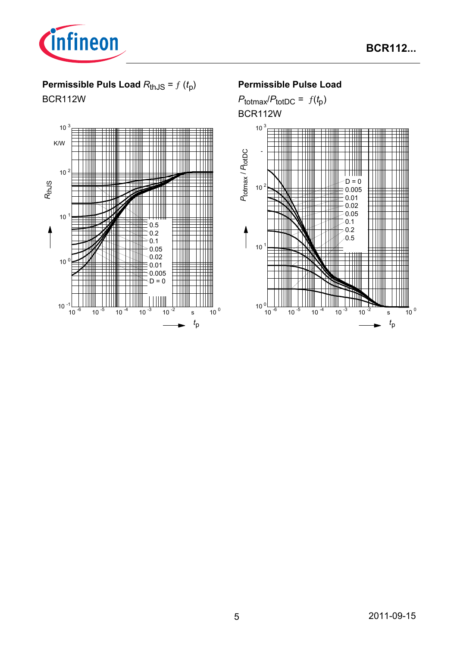

# **Permissible Puls Load**  $R_{th,JS} = f(t_p)$

BCR112W



## **Permissible Pulse Load**

 $P_{\text{totmax}}/P_{\text{totDC}} = f(t_p)$ BCR112W

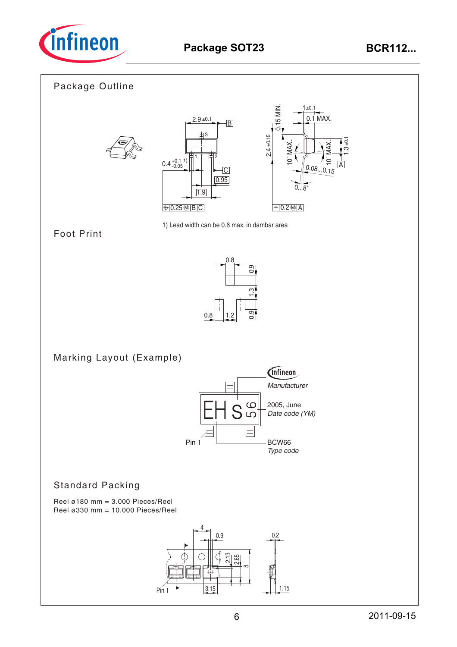

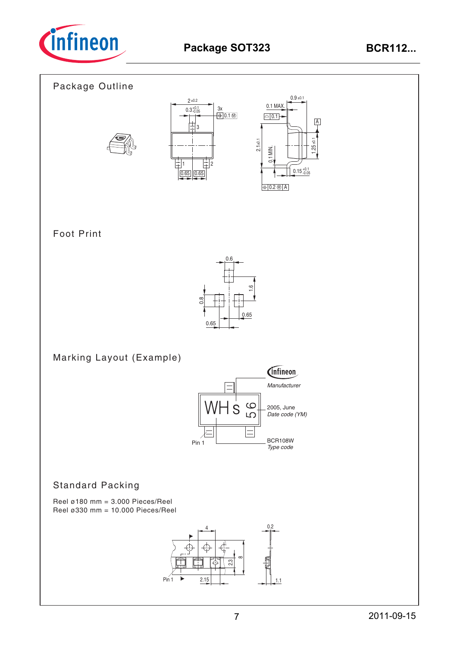